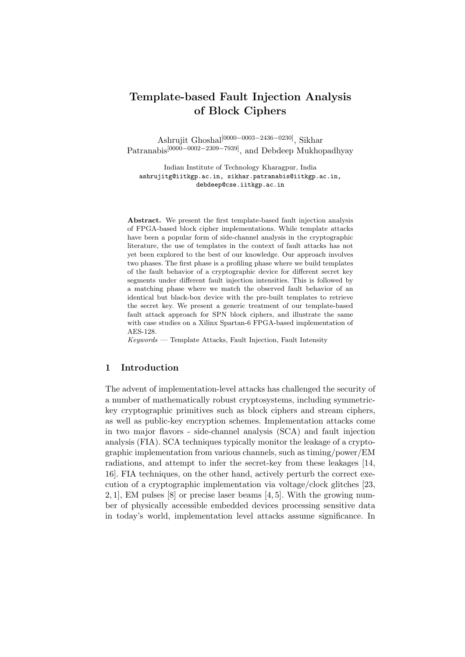# Template-based Fault Injection Analysis of Block Ciphers

Ashrujit Ghoshal[0000−0003−2436−0230], Sikhar Patranabis[0000−0002−2309−7939], and Debdeep Mukhopadhyay

Indian Institute of Technology Kharagpur, India ashrujitg@iitkgp.ac.in, sikhar.patranabis@iitkgp.ac.in, debdeep@cse.iitkgp.ac.in

Abstract. We present the first template-based fault injection analysis of FPGA-based block cipher implementations. While template attacks have been a popular form of side-channel analysis in the cryptographic literature, the use of templates in the context of fault attacks has not yet been explored to the best of our knowledge. Our approach involves two phases. The first phase is a profiling phase where we build templates of the fault behavior of a cryptographic device for different secret key segments under different fault injection intensities. This is followed by a matching phase where we match the observed fault behavior of an identical but black-box device with the pre-built templates to retrieve the secret key. We present a generic treatment of our template-based fault attack approach for SPN block ciphers, and illustrate the same with case studies on a Xilinx Spartan-6 FPGA-based implementation of AES-128.

 $Keywords$  — Template Attacks, Fault Injection, Fault Intensity

# 1 Introduction

The advent of implementation-level attacks has challenged the security of a number of mathematically robust cryptosystems, including symmetrickey cryptographic primitives such as block ciphers and stream ciphers, as well as public-key encryption schemes. Implementation attacks come in two major flavors - side-channel analysis (SCA) and fault injection analysis (FIA). SCA techniques typically monitor the leakage of a cryptographic implementation from various channels, such as timing/power/EM radiations, and attempt to infer the secret-key from these leakages [14, 16]. FIA techniques, on the other hand, actively perturb the correct execution of a cryptographic implementation via voltage/clock glitches [23, 2, 1], EM pulses [8] or precise laser beams [4, 5]. With the growing number of physically accessible embedded devices processing sensitive data in today's world, implementation level attacks assume significance. In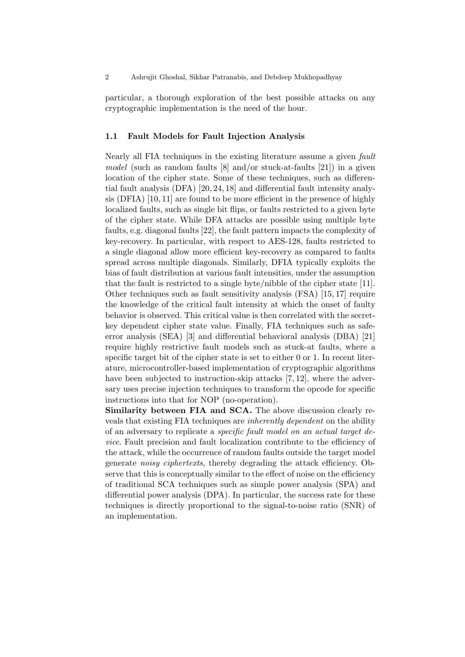particular, a thorough exploration of the best possible attacks on any cryptographic implementation is the need of the hour.

# 1.1 Fault Models for Fault Injection Analysis

Nearly all FIA techniques in the existing literature assume a given fault model (such as random faults [8] and/or stuck-at-faults [21]) in a given location of the cipher state. Some of these techniques, such as differential fault analysis (DFA) [20, 24, 18] and differential fault intensity analysis (DFIA) [10, 11] are found to be more efficient in the presence of highly localized faults, such as single bit flips, or faults restricted to a given byte of the cipher state. While DFA attacks are possible using multiple byte faults, e.g. diagonal faults [22], the fault pattern impacts the complexity of key-recovery. In particular, with respect to AES-128, faults restricted to a single diagonal allow more efficient key-recovery as compared to faults spread across multiple diagonals. Similarly, DFIA typically exploits the bias of fault distribution at various fault intensities, under the assumption that the fault is restricted to a single byte/nibble of the cipher state [11]. Other techniques such as fault sensitivity analysis (FSA) [15, 17] require the knowledge of the critical fault intensity at which the onset of faulty behavior is observed. This critical value is then correlated with the secretkey dependent cipher state value. Finally, FIA techniques such as safeerror analysis (SEA) [3] and differential behavioral analysis (DBA) [21] require highly restrictive fault models such as stuck-at faults, where a specific target bit of the cipher state is set to either 0 or 1. In recent literature, microcontroller-based implementation of cryptographic algorithms have been subjected to instruction-skip attacks [7, 12], where the adversary uses precise injection techniques to transform the opcode for specific instructions into that for NOP (no-operation).

Similarity between FIA and SCA. The above discussion clearly reveals that existing FIA techniques are inherently dependent on the ability of an adversary to replicate a specific fault model on an actual target device. Fault precision and fault localization contribute to the efficiency of the attack, while the occurrence of random faults outside the target model generate noisy ciphertexts, thereby degrading the attack efficiency. Observe that this is conceptually similar to the effect of noise on the efficiency of traditional SCA techniques such as simple power analysis (SPA) and differential power analysis (DPA). In particular, the success rate for these techniques is directly proportional to the signal-to-noise ratio (SNR) of an implementation.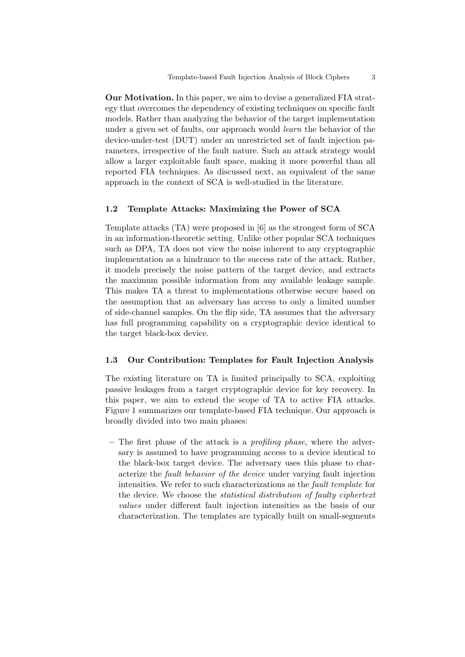Our Motivation. In this paper, we aim to devise a generalized FIA strategy that overcomes the dependency of existing techniques on specific fault models. Rather than analyzing the behavior of the target implementation under a given set of faults, our approach would learn the behavior of the device-under-test (DUT) under an unrestricted set of fault injection parameters, irrespective of the fault nature. Such an attack strategy would allow a larger exploitable fault space, making it more powerful than all reported FIA techniques. As discussed next, an equivalent of the same approach in the context of SCA is well-studied in the literature.

## 1.2 Template Attacks: Maximizing the Power of SCA

Template attacks (TA) were proposed in [6] as the strongest form of SCA in an information-theoretic setting. Unlike other popular SCA techniques such as DPA, TA does not view the noise inherent to any cryptographic implementation as a hindrance to the success rate of the attack. Rather, it models precisely the noise pattern of the target device, and extracts the maximum possible information from any available leakage sample. This makes TA a threat to implementations otherwise secure based on the assumption that an adversary has access to only a limited number of side-channel samples. On the flip side, TA assumes that the adversary has full programming capability on a cryptographic device identical to the target black-box device.

#### 1.3 Our Contribution: Templates for Fault Injection Analysis

The existing literature on TA is limited principally to SCA, exploiting passive leakages from a target cryptographic device for key recovery. In this paper, we aim to extend the scope of TA to active FIA attacks. Figure 1 summarizes our template-based FIA technique. Our approach is broadly divided into two main phases:

– The first phase of the attack is a profiling phase, where the adversary is assumed to have programming access to a device identical to the black-box target device. The adversary uses this phase to characterize the fault behavior of the device under varying fault injection intensities. We refer to such characterizations as the fault template for the device. We choose the statistical distribution of faulty ciphertext values under different fault injection intensities as the basis of our characterization. The templates are typically built on small-segments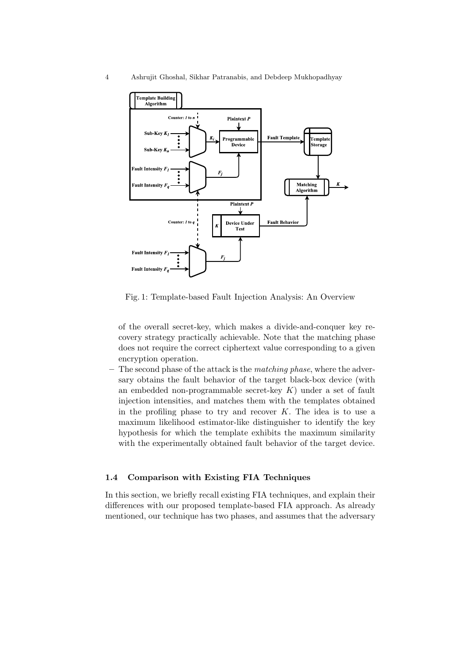

Fig. 1: Template-based Fault Injection Analysis: An Overview

of the overall secret-key, which makes a divide-and-conquer key recovery strategy practically achievable. Note that the matching phase does not require the correct ciphertext value corresponding to a given encryption operation.

 $-$  The second phase of the attack is the *matching phase*, where the adversary obtains the fault behavior of the target black-box device (with an embedded non-programmable secret-key  $K$ ) under a set of fault injection intensities, and matches them with the templates obtained in the profiling phase to try and recover  $K$ . The idea is to use a maximum likelihood estimator-like distinguisher to identify the key hypothesis for which the template exhibits the maximum similarity with the experimentally obtained fault behavior of the target device.

# 1.4 Comparison with Existing FIA Techniques

In this section, we briefly recall existing FIA techniques, and explain their differences with our proposed template-based FIA approach. As already mentioned, our technique has two phases, and assumes that the adversary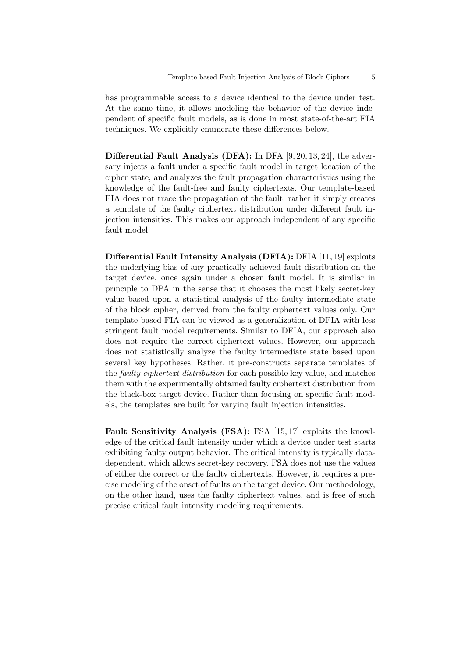has programmable access to a device identical to the device under test. At the same time, it allows modeling the behavior of the device independent of specific fault models, as is done in most state-of-the-art FIA techniques. We explicitly enumerate these differences below.

Differential Fault Analysis (DFA): In DFA [9, 20, 13, 24], the adversary injects a fault under a specific fault model in target location of the cipher state, and analyzes the fault propagation characteristics using the knowledge of the fault-free and faulty ciphertexts. Our template-based FIA does not trace the propagation of the fault; rather it simply creates a template of the faulty ciphertext distribution under different fault injection intensities. This makes our approach independent of any specific fault model.

Differential Fault Intensity Analysis (DFIA): DFIA [11, 19] exploits the underlying bias of any practically achieved fault distribution on the target device, once again under a chosen fault model. It is similar in principle to DPA in the sense that it chooses the most likely secret-key value based upon a statistical analysis of the faulty intermediate state of the block cipher, derived from the faulty ciphertext values only. Our template-based FIA can be viewed as a generalization of DFIA with less stringent fault model requirements. Similar to DFIA, our approach also does not require the correct ciphertext values. However, our approach does not statistically analyze the faulty intermediate state based upon several key hypotheses. Rather, it pre-constructs separate templates of the faulty ciphertext distribution for each possible key value, and matches them with the experimentally obtained faulty ciphertext distribution from the black-box target device. Rather than focusing on specific fault models, the templates are built for varying fault injection intensities.

Fault Sensitivity Analysis (FSA): FSA [15, 17] exploits the knowledge of the critical fault intensity under which a device under test starts exhibiting faulty output behavior. The critical intensity is typically datadependent, which allows secret-key recovery. FSA does not use the values of either the correct or the faulty ciphertexts. However, it requires a precise modeling of the onset of faults on the target device. Our methodology, on the other hand, uses the faulty ciphertext values, and is free of such precise critical fault intensity modeling requirements.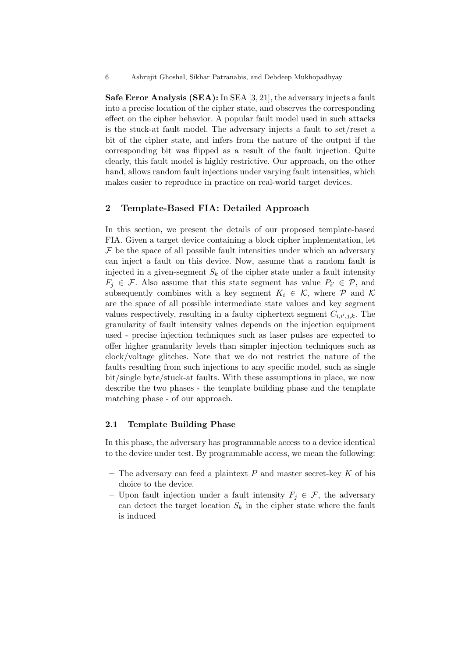6 Ashrujit Ghoshal, Sikhar Patranabis, and Debdeep Mukhopadhyay

Safe Error Analysis (SEA): In SEA [3, 21], the adversary injects a fault into a precise location of the cipher state, and observes the corresponding effect on the cipher behavior. A popular fault model used in such attacks is the stuck-at fault model. The adversary injects a fault to set/reset a bit of the cipher state, and infers from the nature of the output if the corresponding bit was flipped as a result of the fault injection. Quite clearly, this fault model is highly restrictive. Our approach, on the other hand, allows random fault injections under varying fault intensities, which makes easier to reproduce in practice on real-world target devices.

# 2 Template-Based FIA: Detailed Approach

In this section, we present the details of our proposed template-based FIA. Given a target device containing a block cipher implementation, let  $\mathcal F$  be the space of all possible fault intensities under which an adversary can inject a fault on this device. Now, assume that a random fault is injected in a given-segment  $S_k$  of the cipher state under a fault intensity  $F_j \in \mathcal{F}$ . Also assume that this state segment has value  $P_{i'} \in \mathcal{P}$ , and subsequently combines with a key segment  $K_i \in \mathcal{K}$ , where  $\mathcal{P}$  and  $\mathcal{K}$ are the space of all possible intermediate state values and key segment values respectively, resulting in a faulty ciphertext segment  $C_{i,i',j,k}$ . The granularity of fault intensity values depends on the injection equipment used - precise injection techniques such as laser pulses are expected to offer higher granularity levels than simpler injection techniques such as clock/voltage glitches. Note that we do not restrict the nature of the faults resulting from such injections to any specific model, such as single bit/single byte/stuck-at faults. With these assumptions in place, we now describe the two phases - the template building phase and the template matching phase - of our approach.

#### 2.1 Template Building Phase

In this phase, the adversary has programmable access to a device identical to the device under test. By programmable access, we mean the following:

- The adversary can feed a plaintext  $P$  and master secret-key  $K$  of his choice to the device.
- Upon fault injection under a fault intensity  $F_j \in \mathcal{F}$ , the adversary can detect the target location  $S_k$  in the cipher state where the fault is induced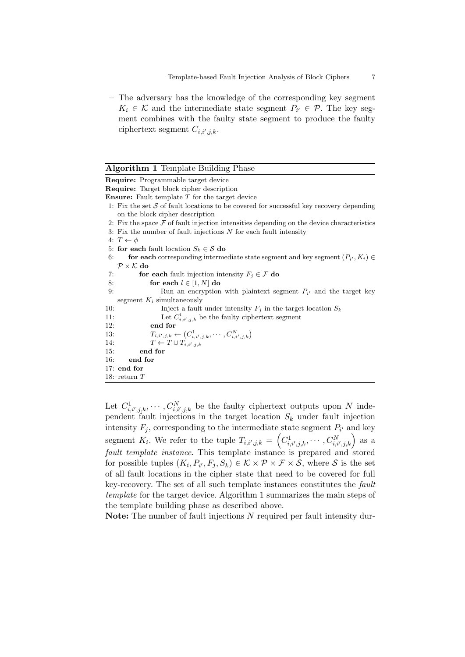– The adversary has the knowledge of the corresponding key segment  $K_i \in \mathcal{K}$  and the intermediate state segment  $P_{i'} \in \mathcal{P}$ . The key segment combines with the faulty state segment to produce the faulty ciphertext segment  $C_{i,i',j,k}$ .

|  |  | <b>Algorithm 1 Template Building Phase</b> |
|--|--|--------------------------------------------|
|--|--|--------------------------------------------|

Require: Programmable target device Require: Target block cipher description **Ensure:** Fault template  $T$  for the target device 1: Fix the set  $S$  of fault locations to be covered for successful key recovery depending on the block cipher description 2: Fix the space  $\mathcal F$  of fault injection intensities depending on the device characteristics 3: Fix the number of fault injections  $N$  for each fault intensity 4:  $T \leftarrow \phi$ 5: for each fault location  $S_k \in \mathcal{S}$  do 6: **for each** corresponding intermediate state segment and key segment  $(P_{i'}, K_i) \in$  $\mathcal{P} \times \mathcal{K}$  do 7: **for each** fault injection intensity  $F_j \in \mathcal{F}$  do 8: for each  $l \in [1, N]$  do 9: Run an encryption with plaintext segment  $P_{i'}$  and the target key segment  $K_i$  simultaneously 10: Inject a fault under intensity  $F_i$  in the target location  $S_k$ 11: Let  $C_{i,i',j,k}^{l}$  be the faulty ciphertext segment 12: end for 13:  $T_{i,i',j,k} \leftarrow (C^1_{i,i',j,k}, \cdots, C^N_{i,i',j,k})$ 14:  $T \leftarrow T \cup T_{i,i',j,k}$ 15: end for 16: end for 17: end for 18: return T

Let  $C^1_{i,i',j,k},\cdots,C^N_{i,i',j,k}$  be the faulty ciphertext outputs upon N independent fault injections in the target location  $S_k$  under fault injection intensity  $F_j$ , corresponding to the intermediate state segment  $P_{i'}$  and key segment  $K_i$ . We refer to the tuple  $T_{i,i',j,k} = \left(C_{i,i',j,k}^1, \cdots, C_{i,i',j,k}^N\right)$  as a fault template instance. This template instance is prepared and stored for possible tuples  $(K_i, P_{i'}, F_j, S_k) \in \mathcal{K} \times \mathcal{P} \times \mathcal{F} \times \mathcal{S}$ , where  $\mathcal{S}$  is the set of all fault locations in the cipher state that need to be covered for full key-recovery. The set of all such template instances constitutes the fault template for the target device. Algorithm 1 summarizes the main steps of the template building phase as described above.

Note: The number of fault injections N required per fault intensity dur-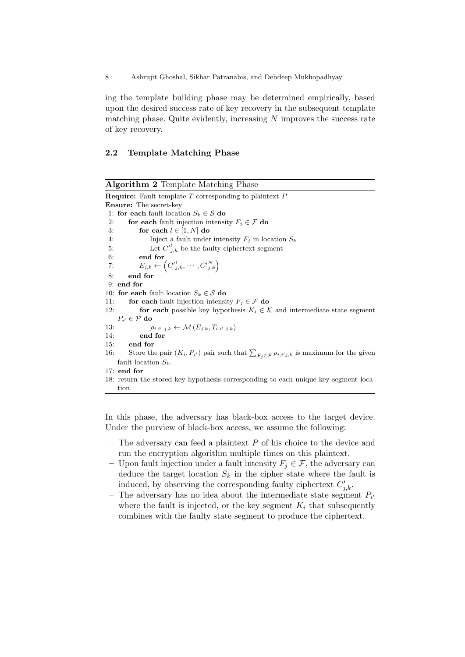8 Ashrujit Ghoshal, Sikhar Patranabis, and Debdeep Mukhopadhyay

ing the template building phase may be determined empirically, based upon the desired success rate of key recovery in the subsequent template matching phase. Quite evidently, increasing  $N$  improves the success rate of key recovery.

#### 2.2 Template Matching Phase

Algorithm 2 Template Matching Phase **Require:** Fault template  $T$  corresponding to plaintext  $P$ Ensure: The secret-key 1: for each fault location  $S_k \in \mathcal{S}$  do 2: for each fault injection intensity  $F_j \in \mathcal{F}$  do 3: for each  $l \in [1, N]$  do 4: Inject a fault under intensity  $F_j$  in location  $S_k$ 5: Let  ${C'}_{j,k}^l$  be the faulty ciphertext segment 6: end for 7:  $E_{j,k} \leftarrow \left(C'_{j,k}, \cdots, C'_{j,k}^N\right)$ 8: end for 9: end for 10: for each fault location  $S_k \in \mathcal{S}$  do 11: **for each** fault injection intensity  $F_j \in \mathcal{F}$  do 12: **for each** possible key hypothesis  $K_i \in \mathcal{K}$  and intermediate state segment  $P_{i'} \in \mathcal{P}$  do 13:  $\rho_{i,i',j,k} \leftarrow \mathcal{M}(E_{j,k}, T_{i,i',j,k})$ 14: end for 15: end for 16: Store the pair  $(K_i, P_{i'})$  pair such that  $\sum_{F_j \in \mathcal{F}} \rho_{i,i',j,k}$  is maximum for the given fault location  $S_k$ . 17: end for 18: return the stored key hypothesis corresponding to each unique key segment location.

In this phase, the adversary has black-box access to the target device. Under the purview of black-box access, we assume the following:

- $-$  The adversary can feed a plaintext  $P$  of his choice to the device and run the encryption algorithm multiple times on this plaintext.
- Upon fault injection under a fault intensity  $F_j \in \mathcal{F}$ , the adversary can deduce the target location  $S_k$  in the cipher state where the fault is induced, by observing the corresponding faulty ciphertext  $C'_{j,k}$ .
- The adversary has no idea about the intermediate state segment  $P_i$ where the fault is injected, or the key segment  $K_i$  that subsequently combines with the faulty state segment to produce the ciphertext.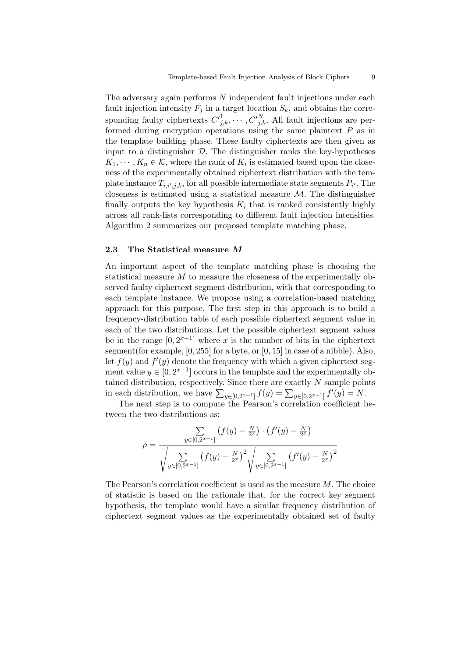The adversary again performs N independent fault injections under each fault injection intensity  $F_j$  in a target location  $S_k$ , and obtains the corresponding faulty ciphertexts  $C'_{j,k}^1, \cdots, C'_{j,k}^N$ . All fault injections are performed during encryption operations using the same plaintext  $P$  as in the template building phase. These faulty ciphertexts are then given as input to a distinguisher  $\mathcal{D}$ . The distinguisher ranks the key-hypotheses  $K_1, \dots, K_n \in \mathcal{K}$ , where the rank of  $K_i$  is estimated based upon the closeness of the experimentally obtained ciphertext distribution with the template instance  $T_{i,i',j,k}$ , for all possible intermediate state segments  $P_{i'}$ . The closeness is estimated using a statistical measure  $\mathcal{M}$ . The distinguisher finally outputs the key hypothesis  $K_i$  that is ranked consistently highly across all rank-lists corresponding to different fault injection intensities. Algorithm 2 summarizes our proposed template matching phase.

#### 2.3 The Statistical measure M

An important aspect of the template matching phase is choosing the statistical measure M to measure the closeness of the experimentally observed faulty ciphertext segment distribution, with that corresponding to each template instance. We propose using a correlation-based matching approach for this purpose. The first step in this approach is to build a frequency-distribution table of each possible ciphertext segment value in each of the two distributions. Let the possible ciphertext segment values be in the range  $[0, 2^{x-1}]$  where x is the number of bits in the ciphertext segment(for example,  $[0, 255]$  for a byte, or  $[0, 15]$  in case of a nibble). Also, let  $f(y)$  and  $f'(y)$  denote the frequency with which a given ciphertext segment value  $y \in [0, 2^{x-1}]$  occurs in the template and the experimentally obtained distribution, respectively. Since there are exactly  $N$  sample points in each distribution, we have  $\sum_{y \in [0,2^{x-1}]} f(y) = \sum_{y \in [0,2^{x-1}]} f'(y) = N$ .

The next step is to compute the Pearson's correlation coefficient between the two distributions as:

$$
\rho = \frac{\sum\limits_{y \in [0, 2^{x-1}]} \left( f(y) - \frac{N}{2^x} \right) \cdot \left( f'(y) - \frac{N}{2^x} \right)}{\sqrt{\sum\limits_{y \in [0, 2^{x-1}]} \left( f(y) - \frac{N}{2^x} \right)^2} \sqrt{\sum\limits_{y \in [0, 2^{x-1}]} \left( f'(y) - \frac{N}{2^x} \right)^2}}
$$

The Pearson's correlation coefficient is used as the measure  $M$ . The choice of statistic is based on the rationale that, for the correct key segment hypothesis, the template would have a similar frequency distribution of ciphertext segment values as the experimentally obtained set of faulty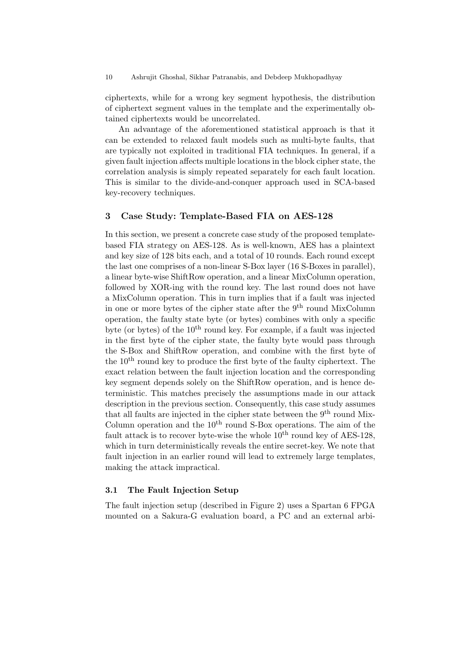10 Ashrujit Ghoshal, Sikhar Patranabis, and Debdeep Mukhopadhyay

ciphertexts, while for a wrong key segment hypothesis, the distribution of ciphertext segment values in the template and the experimentally obtained ciphertexts would be uncorrelated.

An advantage of the aforementioned statistical approach is that it can be extended to relaxed fault models such as multi-byte faults, that are typically not exploited in traditional FIA techniques. In general, if a given fault injection affects multiple locations in the block cipher state, the correlation analysis is simply repeated separately for each fault location. This is similar to the divide-and-conquer approach used in SCA-based key-recovery techniques.

#### 3 Case Study: Template-Based FIA on AES-128

In this section, we present a concrete case study of the proposed templatebased FIA strategy on AES-128. As is well-known, AES has a plaintext and key size of 128 bits each, and a total of 10 rounds. Each round except the last one comprises of a non-linear S-Box layer (16 S-Boxes in parallel), a linear byte-wise ShiftRow operation, and a linear MixColumn operation, followed by XOR-ing with the round key. The last round does not have a MixColumn operation. This in turn implies that if a fault was injected in one or more bytes of the cipher state after the  $9<sup>th</sup>$  round MixColumn operation, the faulty state byte (or bytes) combines with only a specific byte (or bytes) of the  $10^{th}$  round key. For example, if a fault was injected in the first byte of the cipher state, the faulty byte would pass through the S-Box and ShiftRow operation, and combine with the first byte of the 10th round key to produce the first byte of the faulty ciphertext. The exact relation between the fault injection location and the corresponding key segment depends solely on the ShiftRow operation, and is hence deterministic. This matches precisely the assumptions made in our attack description in the previous section. Consequently, this case study assumes that all faults are injected in the cipher state between the  $9<sup>th</sup>$  round Mix-Column operation and the  $10<sup>th</sup>$  round S-Box operations. The aim of the fault attack is to recover byte-wise the whole  $10^{th}$  round key of AES-128, which in turn deterministically reveals the entire secret-key. We note that fault injection in an earlier round will lead to extremely large templates, making the attack impractical.

## 3.1 The Fault Injection Setup

The fault injection setup (described in Figure 2) uses a Spartan 6 FPGA mounted on a Sakura-G evaluation board, a PC and an external arbi-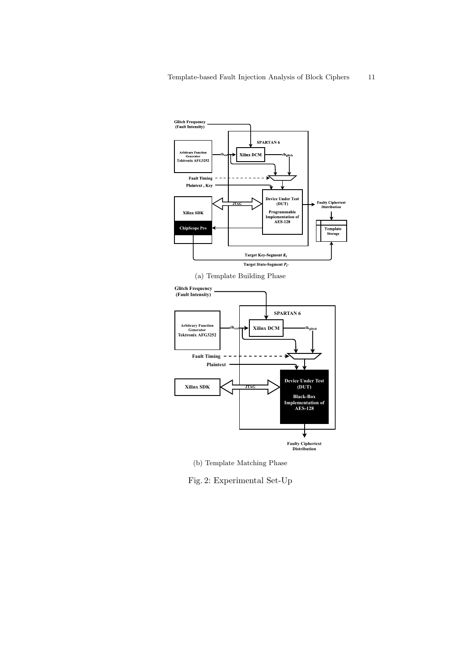

(b) Template Matching Phase

Fig. 2: Experimental Set-Up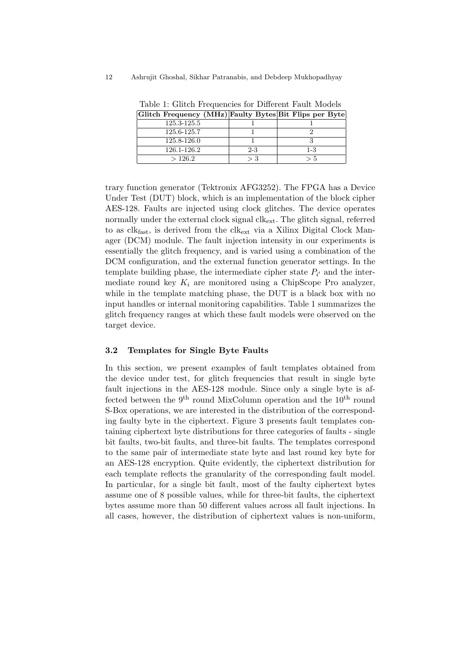| Glitch Frequency (MHz) Faulty Bytes Bit Flips per Byte |         |     |
|--------------------------------------------------------|---------|-----|
| 125.3-125.5                                            |         |     |
| 125.6-125.7                                            |         |     |
| 125.8-126.0                                            |         |     |
| 126.1-126.2                                            | $2 - 3$ | 1-3 |
| >126.2                                                 |         | > 5 |

Table 1: Glitch Frequencies for Different Fault Models

trary function generator (Tektronix AFG3252). The FPGA has a Device Under Test (DUT) block, which is an implementation of the block cipher AES-128. Faults are injected using clock glitches. The device operates normally under the external clock signal clk<sub>ext</sub>. The glitch signal, referred to as  $\text{clk}_{\text{fast}}$ , is derived from the  $\text{clk}_{\text{ext}}$  via a Xilinx Digital Clock Manager (DCM) module. The fault injection intensity in our experiments is essentially the glitch frequency, and is varied using a combination of the DCM configuration, and the external function generator settings. In the template building phase, the intermediate cipher state  $P_{i'}$  and the intermediate round key  $K_i$  are monitored using a ChipScope Pro analyzer, while in the template matching phase, the DUT is a black box with no input handles or internal monitoring capabilities. Table 1 summarizes the glitch frequency ranges at which these fault models were observed on the target device.

#### 3.2 Templates for Single Byte Faults

In this section, we present examples of fault templates obtained from the device under test, for glitch frequencies that result in single byte fault injections in the AES-128 module. Since only a single byte is affected between the  $9<sup>th</sup>$  round MixColumn operation and the  $10<sup>th</sup>$  round S-Box operations, we are interested in the distribution of the corresponding faulty byte in the ciphertext. Figure 3 presents fault templates containing ciphertext byte distributions for three categories of faults - single bit faults, two-bit faults, and three-bit faults. The templates correspond to the same pair of intermediate state byte and last round key byte for an AES-128 encryption. Quite evidently, the ciphertext distribution for each template reflects the granularity of the corresponding fault model. In particular, for a single bit fault, most of the faulty ciphertext bytes assume one of 8 possible values, while for three-bit faults, the ciphertext bytes assume more than 50 different values across all fault injections. In all cases, however, the distribution of ciphertext values is non-uniform,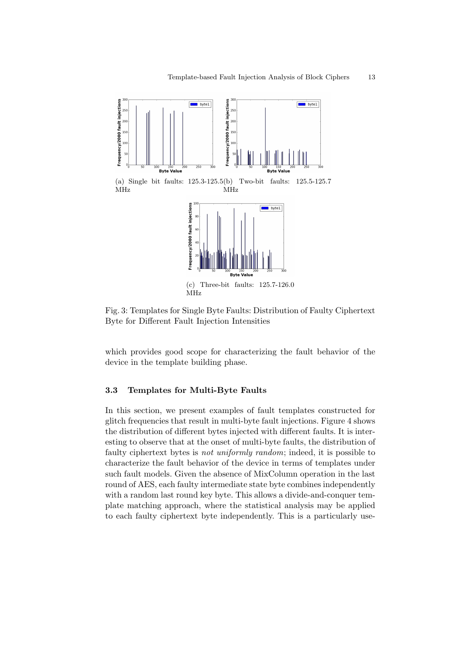

Fig. 3: Templates for Single Byte Faults: Distribution of Faulty Ciphertext Byte for Different Fault Injection Intensities

which provides good scope for characterizing the fault behavior of the device in the template building phase.

## 3.3 Templates for Multi-Byte Faults

In this section, we present examples of fault templates constructed for glitch frequencies that result in multi-byte fault injections. Figure 4 shows the distribution of different bytes injected with different faults. It is interesting to observe that at the onset of multi-byte faults, the distribution of faulty ciphertext bytes is *not uniformly random*; indeed, it is possible to characterize the fault behavior of the device in terms of templates under such fault models. Given the absence of MixColumn operation in the last round of AES, each faulty intermediate state byte combines independently with a random last round key byte. This allows a divide-and-conquer template matching approach, where the statistical analysis may be applied to each faulty ciphertext byte independently. This is a particularly use-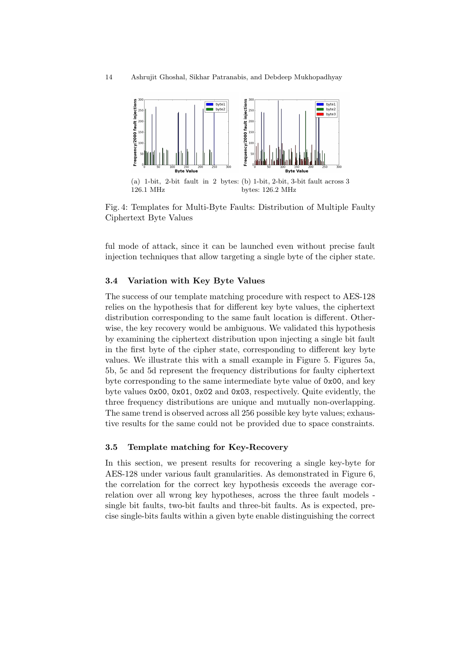

Fig. 4: Templates for Multi-Byte Faults: Distribution of Multiple Faulty Ciphertext Byte Values

ful mode of attack, since it can be launched even without precise fault injection techniques that allow targeting a single byte of the cipher state.

## 3.4 Variation with Key Byte Values

The success of our template matching procedure with respect to AES-128 relies on the hypothesis that for different key byte values, the ciphertext distribution corresponding to the same fault location is different. Otherwise, the key recovery would be ambiguous. We validated this hypothesis by examining the ciphertext distribution upon injecting a single bit fault in the first byte of the cipher state, corresponding to different key byte values. We illustrate this with a small example in Figure 5. Figures 5a, 5b, 5c and 5d represent the frequency distributions for faulty ciphertext byte corresponding to the same intermediate byte value of 0x00, and key byte values 0x00, 0x01, 0x02 and 0x03, respectively. Quite evidently, the three frequency distributions are unique and mutually non-overlapping. The same trend is observed across all 256 possible key byte values; exhaustive results for the same could not be provided due to space constraints.

## 3.5 Template matching for Key-Recovery

In this section, we present results for recovering a single key-byte for AES-128 under various fault granularities. As demonstrated in Figure 6, the correlation for the correct key hypothesis exceeds the average correlation over all wrong key hypotheses, across the three fault models single bit faults, two-bit faults and three-bit faults. As is expected, precise single-bits faults within a given byte enable distinguishing the correct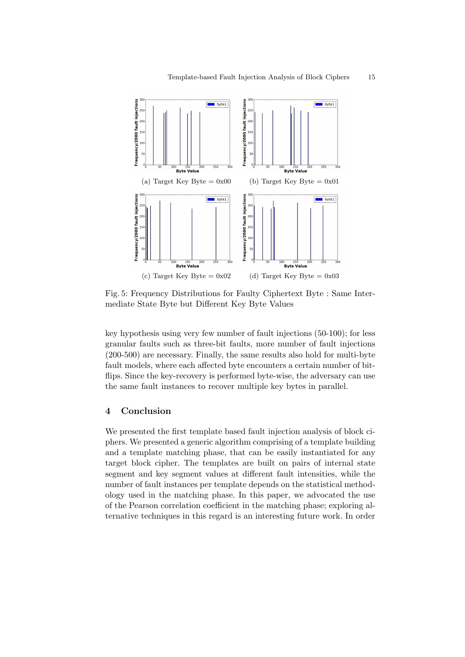

Fig. 5: Frequency Distributions for Faulty Ciphertext Byte : Same Intermediate State Byte but Different Key Byte Values

key hypothesis using very few number of fault injections (50-100); for less granular faults such as three-bit faults, more number of fault injections (200-500) are necessary. Finally, the same results also hold for multi-byte fault models, where each affected byte encounters a certain number of bitflips. Since the key-recovery is performed byte-wise, the adversary can use the same fault instances to recover multiple key bytes in parallel.

#### 4 Conclusion

We presented the first template based fault injection analysis of block ciphers. We presented a generic algorithm comprising of a template building and a template matching phase, that can be easily instantiated for any target block cipher. The templates are built on pairs of internal state segment and key segment values at different fault intensities, while the number of fault instances per template depends on the statistical methodology used in the matching phase. In this paper, we advocated the use of the Pearson correlation coefficient in the matching phase; exploring alternative techniques in this regard is an interesting future work. In order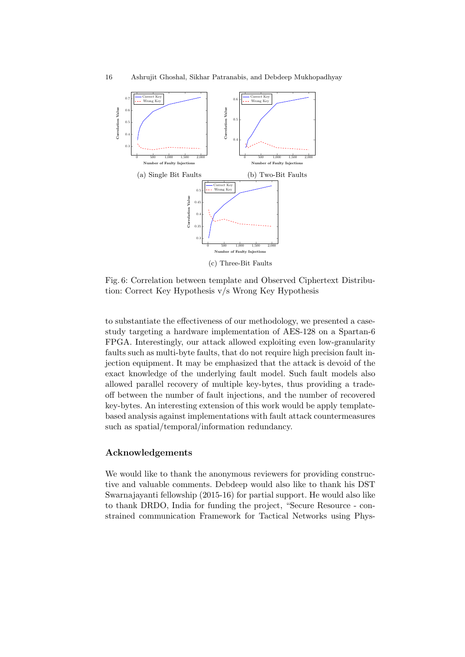

Fig. 6: Correlation between template and Observed Ciphertext Distribution: Correct Key Hypothesis v/s Wrong Key Hypothesis

to substantiate the effectiveness of our methodology, we presented a casestudy targeting a hardware implementation of AES-128 on a Spartan-6 FPGA. Interestingly, our attack allowed exploiting even low-granularity faults such as multi-byte faults, that do not require high precision fault injection equipment. It may be emphasized that the attack is devoid of the exact knowledge of the underlying fault model. Such fault models also allowed parallel recovery of multiple key-bytes, thus providing a tradeoff between the number of fault injections, and the number of recovered key-bytes. An interesting extension of this work would be apply templatebased analysis against implementations with fault attack countermeasures such as spatial/temporal/information redundancy.

# Acknowledgements

We would like to thank the anonymous reviewers for providing constructive and valuable comments. Debdeep would also like to thank his DST Swarnajayanti fellowship (2015-16) for partial support. He would also like to thank DRDO, India for funding the project, "Secure Resource - constrained communication Framework for Tactical Networks using Phys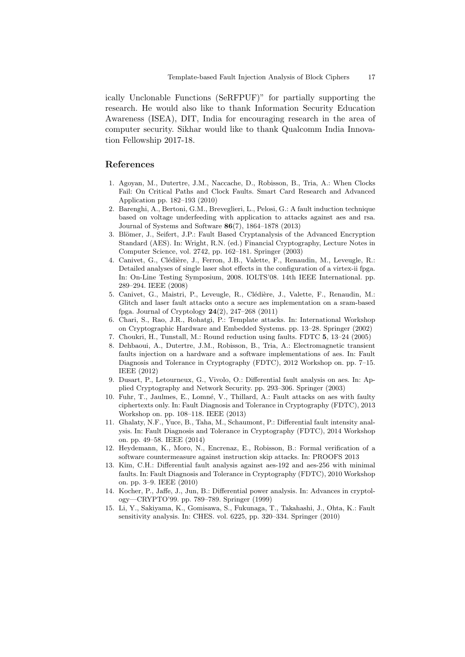ically Unclonable Functions (SeRFPUF)" for partially supporting the research. He would also like to thank Information Security Education Awareness (ISEA), DIT, India for encouraging research in the area of computer security. Sikhar would like to thank Qualcomm India Innovation Fellowship 2017-18.

# References

- 1. Agoyan, M., Dutertre, J.M., Naccache, D., Robisson, B., Tria, A.: When Clocks Fail: On Critical Paths and Clock Faults. Smart Card Research and Advanced Application pp. 182–193 (2010)
- 2. Barenghi, A., Bertoni, G.M., Breveglieri, L., Pelosi, G.: A fault induction technique based on voltage underfeeding with application to attacks against aes and rsa. Journal of Systems and Software 86(7), 1864–1878 (2013)
- 3. Blömer, J., Seifert, J.P.: Fault Based Cryptanalysis of the Advanced Encryption Standard (AES). In: Wright, R.N. (ed.) Financial Cryptography, Lecture Notes in Computer Science, vol. 2742, pp. 162–181. Springer (2003)
- 4. Canivet, G., Clédière, J., Ferron, J.B., Valette, F., Renaudin, M., Leveugle, R.: Detailed analyses of single laser shot effects in the configuration of a virtex-ii fpga. In: On-Line Testing Symposium, 2008. IOLTS'08. 14th IEEE International. pp. 289–294. IEEE (2008)
- 5. Canivet, G., Maistri, P., Leveugle, R., Clédière, J., Valette, F., Renaudin, M.: Glitch and laser fault attacks onto a secure aes implementation on a sram-based fpga. Journal of Cryptology 24(2), 247–268 (2011)
- 6. Chari, S., Rao, J.R., Rohatgi, P.: Template attacks. In: International Workshop on Cryptographic Hardware and Embedded Systems. pp. 13–28. Springer (2002)
- 7. Choukri, H., Tunstall, M.: Round reduction using faults. FDTC 5, 13–24 (2005)
- 8. Dehbaoui, A., Dutertre, J.M., Robisson, B., Tria, A.: Electromagnetic transient faults injection on a hardware and a software implementations of aes. In: Fault Diagnosis and Tolerance in Cryptography (FDTC), 2012 Workshop on. pp. 7–15. IEEE (2012)
- 9. Dusart, P., Letourneux, G., Vivolo, O.: Differential fault analysis on aes. In: Applied Cryptography and Network Security. pp. 293–306. Springer (2003)
- 10. Fuhr, T., Jaulmes, E., Lomné, V., Thillard, A.: Fault attacks on aes with faulty ciphertexts only. In: Fault Diagnosis and Tolerance in Cryptography (FDTC), 2013 Workshop on. pp. 108–118. IEEE (2013)
- 11. Ghalaty, N.F., Yuce, B., Taha, M., Schaumont, P.: Differential fault intensity analysis. In: Fault Diagnosis and Tolerance in Cryptography (FDTC), 2014 Workshop on. pp. 49–58. IEEE (2014)
- 12. Heydemann, K., Moro, N., Encrenaz, E., Robisson, B.: Formal verification of a software countermeasure against instruction skip attacks. In: PROOFS 2013
- 13. Kim, C.H.: Differential fault analysis against aes-192 and aes-256 with minimal faults. In: Fault Diagnosis and Tolerance in Cryptography (FDTC), 2010 Workshop on. pp. 3–9. IEEE (2010)
- 14. Kocher, P., Jaffe, J., Jun, B.: Differential power analysis. In: Advances in cryptology—CRYPTO'99. pp. 789–789. Springer (1999)
- 15. Li, Y., Sakiyama, K., Gomisawa, S., Fukunaga, T., Takahashi, J., Ohta, K.: Fault sensitivity analysis. In: CHES. vol. 6225, pp. 320–334. Springer (2010)